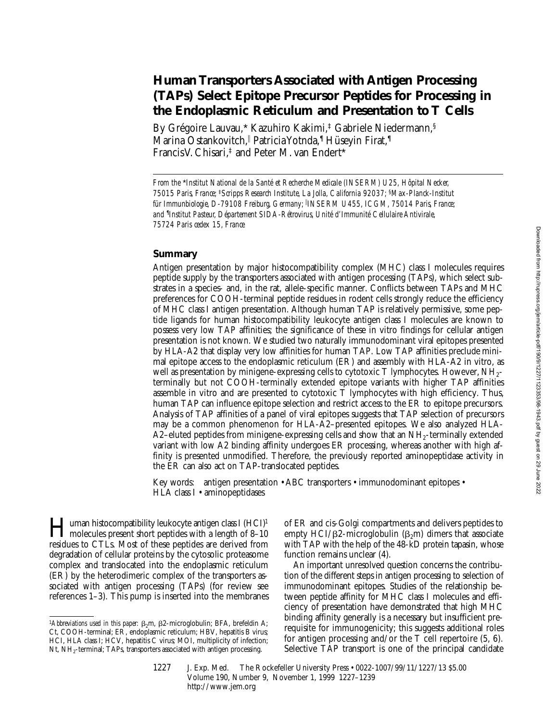# **Human Transporters Associated with Antigen Processing (TAPs) Select Epitope Precursor Peptides for Processing in the Endoplasmic Reticulum and Presentation to T Cells**

By Grégoire Lauvau,\* Kazuhiro Kakimi,‡ Gabriele Niedermann,§ Marina Ostankovitch,|| Patricia Yotnda,¶ Hüseyin Firat,¶ Francis V. Chisari,‡ and Peter M. van Endert\*

*From the* \**Institut National de la Santé et Recherche Medicale (INSERM) U25, Hôpital Necker, 75015 Paris, France;* ‡*Scripps Research Institute, La Jolla, California 92037;* §*Max-Planck-Institut für Immunbiologie, D-79108 Freiburg, Germany;* <sup>i</sup> *INSERM U455, ICGM, 75014 Paris, France; and* ¶ *Institut Pasteur, Département SIDA-Rétrovirus, Unité d'Immunité Cellulaire Antivirale, 75724 Paris cedex 15, France*

# **Summary**

Antigen presentation by major histocompatibility complex (MHC) class I molecules requires peptide supply by the transporters associated with antigen processing (TAPs), which select substrates in a species- and, in the rat, allele-specific manner. Conflicts between TAPs and MHC preferences for COOH-terminal peptide residues in rodent cells strongly reduce the efficiency of MHC class I antigen presentation. Although human TAP is relatively permissive, some peptide ligands for human histocompatibility leukocyte antigen class I molecules are known to possess very low TAP affinities; the significance of these in vitro findings for cellular antigen presentation is not known. We studied two naturally immunodominant viral epitopes presented by HLA-A2 that display very low affinities for human TAP. Low TAP affinities preclude minimal epitope access to the endoplasmic reticulum (ER) and assembly with HLA-A2 in vitro, as well as presentation by minigene-expressing cells to cytotoxic T lymphocytes. However, NH<sub>2</sub>terminally but not COOH-terminally extended epitope variants with higher TAP affinities assemble in vitro and are presented to cytotoxic T lymphocytes with high efficiency. Thus, human TAP can influence epitope selection and restrict access to the ER to epitope precursors. Analysis of TAP affinities of a panel of viral epitopes suggests that TAP selection of precursors may be a common phenomenon for HLA-A2–presented epitopes. We also analyzed HLA-A2–eluted peptides from minigene-expressing cells and show that an  $NH_2$ -terminally extended variant with low A2 binding affinity undergoes ER processing, whereas another with high affinity is presented unmodified. Therefore, the previously reported aminopeptidase activity in the ER can also act on TAP-translocated peptides.

Key words: antigen presentation • ABC transporters • immunodominant epitopes • HLA class I • aminopeptidases

**Human histocompatibility leukocyte antigen class I (HCI)<sup>1</sup>**<br>molecules present short peptides with a length of 8–10<br>molecules to GTI a Mast of these peptides are derived from residues to CTLs. Most of these peptides are derived from degradation of cellular proteins by the cytosolic proteasome complex and translocated into the endoplasmic reticulum (ER) by the heterodimeric complex of the transporters associated with antigen processing (TAPs) (for review see references 1–3). This pump is inserted into the membranes

of ER and cis-Golgi compartments and delivers peptides to empty HCI/ $\beta$ 2-microglobulin ( $\beta$ <sub>2</sub>m) dimers that associate with TAP with the help of the 48-kD protein tapasin, whose function remains unclear (4).

An important unresolved question concerns the contribution of the different steps in antigen processing to selection of immunodominant epitopes. Studies of the relationship between peptide affinity for MHC class I molecules and efficiency of presentation have demonstrated that high MHC binding affinity generally is a necessary but insufficient prerequisite for immunogenicity; this suggests additional roles for antigen processing and/or the T cell repertoire (5, 6). Selective TAP transport is one of the principal candidate

<sup>&</sup>lt;sup>1</sup>Abbreviations used in this paper:  $\beta_2$ m,  $\beta_2$ -microglobulin; BFA, brefeldin A; Ct, COOH-terminal; ER, endoplasmic reticulum; HBV, hepatitis B virus; HCI, HLA class I; HCV, hepatitis C virus; MOI, multiplicity of infection; Nt, NH<sub>2</sub>-terminal; TAPs, transporters associated with antigen processing.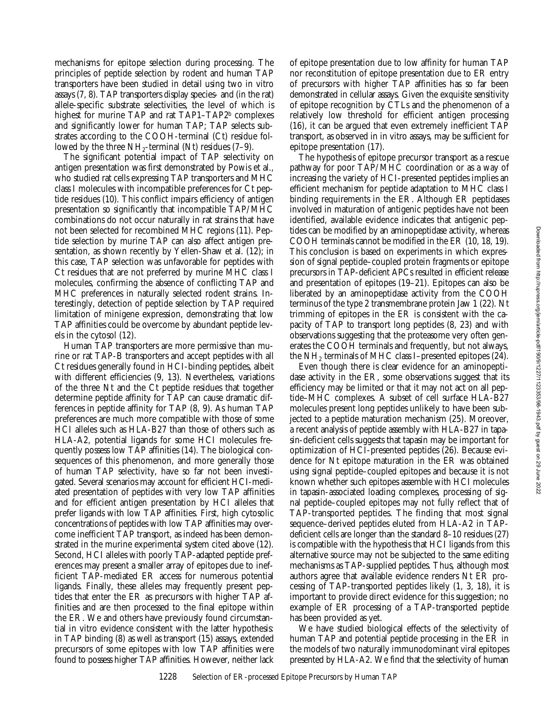mechanisms for epitope selection during processing. The principles of peptide selection by rodent and human TAP transporters have been studied in detail using two in vitro assays (7, 8). TAP transporters display species- and (in the rat) allele-specific substrate selectivities, the level of which is highest for murine TAP and rat TAP1-TAP2<sup>b</sup> complexes and significantly lower for human TAP; TAP selects substrates according to the COOH-terminal (Ct) residue followed by the three  $NH_2$ -terminal (Nt) residues (7–9).

The significant potential impact of TAP selectivity on antigen presentation was first demonstrated by Powis et al., who studied rat cells expressing TAP transporters and MHC class I molecules with incompatible preferences for Ct peptide residues (10). This conflict impairs efficiency of antigen presentation so significantly that incompatible TAP/MHC combinations do not occur naturally in rat strains that have not been selected for recombined MHC regions (11). Peptide selection by murine TAP can also affect antigen presentation, as shown recently by Yellen-Shaw et al. (12); in this case, TAP selection was unfavorable for peptides with Ct residues that are not preferred by murine MHC class I molecules, confirming the absence of conflicting TAP and MHC preferences in naturally selected rodent strains. Interestingly, detection of peptide selection by TAP required limitation of minigene expression, demonstrating that low TAP affinities could be overcome by abundant peptide levels in the cytosol (12).

Human TAP transporters are more permissive than murine or rat TAP-B transporters and accept peptides with all Ct residues generally found in HCI-binding peptides, albeit with different efficiencies (9, 13). Nevertheless, variations of the three Nt and the Ct peptide residues that together determine peptide affinity for TAP can cause dramatic differences in peptide affinity for TAP (8, 9). As human TAP preferences are much more compatible with those of some HCI alleles such as HLA-B27 than those of others such as HLA-A2, potential ligands for some HCI molecules frequently possess low TAP affinities (14). The biological consequences of this phenomenon, and more generally those of human TAP selectivity, have so far not been investigated. Several scenarios may account for efficient HCI-mediated presentation of peptides with very low TAP affinities and for efficient antigen presentation by HCI alleles that prefer ligands with low TAP affinities. First, high cytosolic concentrations of peptides with low TAP affinities may overcome inefficient TAP transport, as indeed has been demonstrated in the murine experimental system cited above (12). Second, HCI alleles with poorly TAP-adapted peptide preferences may present a smaller array of epitopes due to inefficient TAP-mediated ER access for numerous potential ligands. Finally, these alleles may frequently present peptides that enter the ER as precursors with higher TAP affinities and are then processed to the final epitope within the ER. We and others have previously found circumstantial in vitro evidence consistent with the latter hypothesis: in TAP binding (8) as well as transport (15) assays, extended precursors of some epitopes with low TAP affinities were found to possess higher TAP affinities. However, neither lack of epitope presentation due to low affinity for human TAP nor reconstitution of epitope presentation due to ER entry of precursors with higher TAP affinities has so far been demonstrated in cellular assays. Given the exquisite sensitivity of epitope recognition by CTLs and the phenomenon of a relatively low threshold for efficient antigen processing (16), it can be argued that even extremely inefficient TAP transport, as observed in in vitro assays, may be sufficient for epitope presentation (17).

The hypothesis of epitope precursor transport as a rescue pathway for poor TAP/MHC coordination or as a way of increasing the variety of HCI-presented peptides implies an efficient mechanism for peptide adaptation to MHC class I binding requirements in the ER. Although ER peptidases involved in maturation of antigenic peptides have not been identified, available evidence indicates that antigenic peptides can be modified by an aminopeptidase activity, whereas COOH terminals cannot be modified in the ER (10, 18, 19). This conclusion is based on experiments in which expression of signal peptide–coupled protein fragments or epitope precursors in TAP-deficient APCs resulted in efficient release and presentation of epitopes (19–21). Epitopes can also be liberated by an aminopeptidase activity from the COOH terminus of the type 2 transmembrane protein Jaw 1 (22). Nt trimming of epitopes in the ER is consistent with the capacity of TAP to transport long peptides (8, 23) and with observations suggesting that the proteasome very often generates the COOH terminals and frequently, but not always, the  $NH<sub>2</sub>$  terminals of MHC class I–presented epitopes (24).

Even though there is clear evidence for an aminopeptidase activity in the ER, some observations suggest that its efficiency may be limited or that it may not act on all peptide–MHC complexes. A subset of cell surface HLA-B27 molecules present long peptides unlikely to have been subjected to a peptide maturation mechanism (25). Moreover, a recent analysis of peptide assembly with HLA-B27 in tapasin-deficient cells suggests that tapasin may be important for optimization of HCI-presented peptides (26). Because evidence for Nt epitope maturation in the ER was obtained using signal peptide–coupled epitopes and because it is not known whether such epitopes assemble with HCI molecules in tapasin-associated loading complexes, processing of signal peptide–coupled epitopes may not fully reflect that of TAP-transported peptides. The finding that most signal sequence–derived peptides eluted from HLA-A2 in TAPdeficient cells are longer than the standard 8–10 residues (27) is compatible with the hypothesis that HCI ligands from this alternative source may not be subjected to the same editing mechanisms as TAP-supplied peptides. Thus, although most authors agree that available evidence renders Nt ER processing of TAP-transported peptides likely (1, 3, 18), it is important to provide direct evidence for this suggestion; no example of ER processing of a TAP-transported peptide has been provided as yet.

We have studied biological effects of the selectivity of human TAP and potential peptide processing in the ER in the models of two naturally immunodominant viral epitopes presented by HLA-A2. We find that the selectivity of human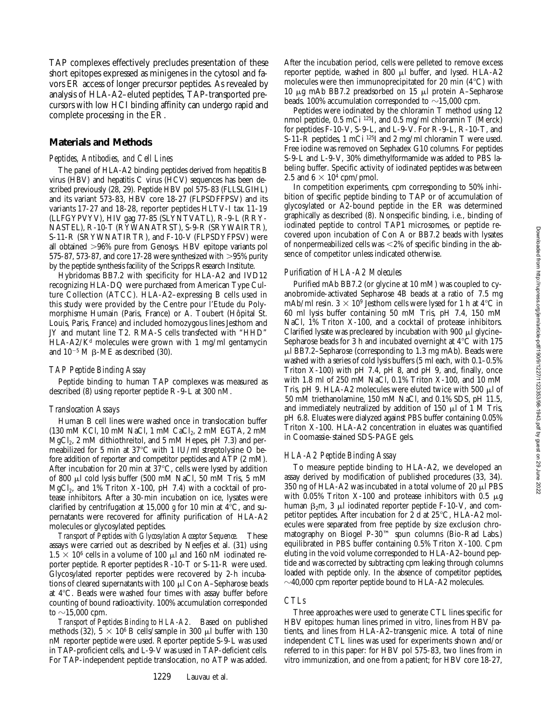TAP complexes effectively precludes presentation of these short epitopes expressed as minigenes in the cytosol and favors ER access of longer precursor peptides. As revealed by analysis of HLA-A2–eluted peptides, TAP-transported precursors with low HCI binding affinity can undergo rapid and complete processing in the ER.

## **Materials and Methods**

#### *Peptides, Antibodies, and Cell Lines*

The panel of HLA-A2 binding peptides derived from hepatitis B virus (HBV) and hepatitis C virus (HCV) sequences has been described previously (28, 29). Peptide HBV pol 575-83 (FLLSLGIHL) and its variant 573-83, HBV core 18-27 (FLPSDFFPSV) and its variants 17-27 and 18-28, reporter peptides HLTV-I tax 11-19 (LLFGYPVYV), HIV gag 77-85 (SLYNTVATL), R-9-L (RRY-NASTEL), R-10-T (RYWANATRST), S-9-R (SRYWAIRTR), S-11-R (SRYWNATIRTR), and F-10-V (FLPSDYFPSV) were all obtained .96% pure from Genosys*.* HBV epitope variants pol 575-87, 573-87, and core 17-28 were synthesized with  $>95\%$  purity by the peptide synthesis facility of the Scripps Research Institute.

Hybridomas BB7.2 with specificity for HLA-A2 and IVD12 recognizing HLA-DQ were purchased from American Type Culture Collection (ATCC). HLA-A2–expressing B cells used in this study were provided by the Centre pour l'Etude du Polymorphisme Humain (Paris, France) or A. Toubert (Hôpital St. Louis, Paris, France) and included homozygous lines Jesthom and JY and mutant line T2. RMA-S cells transfected with "HHD"  $HLA-A2/K<sup>d</sup>$  molecules were grown with 1 mg/ml gentamycin and  $10^{-5}$  M  $\beta$ -ME as described (30).

#### *TAP Peptide Binding Assay*

Peptide binding to human TAP complexes was measured as described (8) using reporter peptide R-9-L at 300 nM.

#### *Translocation Assays*

Human B cell lines were washed once in translocation buffer (130 mM KCl, 10 mM NaCl, 1 mM CaCl<sub>2</sub>, 2 mM EGTA, 2 mM MgCl<sub>2</sub>, 2 mM dithiothreitol, and 5 mM Hepes, pH 7.3) and permeabilized for 5 min at 37 $^{\circ}$ C with 1 IU/ml streptolysine O before addition of reporter and competitor peptides and ATP (2 mM). After incubation for 20 min at  $37^{\circ}$ C, cells were lysed by addition of 800  $\mu$ l cold lysis buffer (500 mM NaCl, 50 mM Tris, 5 mM  $MgCl<sub>2</sub>$ , and 1% Triton X-100, pH 7.4) with a cocktail of protease inhibitors. After a 30-min incubation on ice, lysates were clarified by centrifugation at 15,000  $g$  for 10 min at  $4^{\circ}$ C, and supernatants were recovered for affinity purification of HLA-A2 molecules or glycosylated peptides.

*Transport of Peptides with Glycosylation Acceptor Sequence.* These assays were carried out as described by Neefjes et al. (31) using  $1.5 \times 10^6$  cells in a volume of 100  $\mu$ l and 160 nM iodinated reporter peptide. Reporter peptides R-10-T or S-11-R were used. Glycosylated reporter peptides were recovered by 2-h incubations of cleared supernatants with  $100 \mu$ l Con A–Sepharose beads at  $4^{\circ}$ C. Beads were washed four times with assay buffer before counting of bound radioactivity. 100% accumulation corresponded to  $\sim$ 15,000 cpm.

*Transport of Peptides Binding to HLA-A2.* Based on published methods (32),  $5 \times 10^6$  B cells/sample in 300 µl buffer with 130 nM reporter peptide were used. Reporter peptide S-9-L was used in TAP-proficient cells, and L-9-V was used in TAP-deficient cells. For TAP-independent peptide translocation, no ATP was added.

After the incubation period, cells were pelleted to remove excess reporter peptide, washed in 800 µl buffer, and lysed. HLA-A2 molecules were then immunoprecipitated for 20 min  $(4^{\circ}C)$  with 10  $\mu$ g mAb BB7.2 preadsorbed on 15  $\mu$ l protein A–Sepharose beads. 100% accumulation corresponded to  $\sim$ 15,000 cpm.

Peptides were iodinated by the chloramin T method using 12 nmol peptide, 0.5 mCi 125I, and 0.5 mg/ml chloramin T (Merck) for peptides F-10-V, S-9-L, and L-9-V. For R-9-L, R-10-T, and S-11-R peptides, 1 mCi <sup>125</sup>I and 2 mg/ml chloramin T were used. Free iodine was removed on Sephadex G10 columns. For peptides S-9-L and L-9-V, 30% dimethylformamide was added to PBS labeling buffer. Specific activity of iodinated peptides was between 2.5 and  $6 \times 10^4$  cpm/pmol.

In competition experiments, cpm corresponding to 50% inhibition of specific peptide binding to TAP or of accumulation of glycosylated or A2-bound peptide in the ER was determined graphically as described (8). Nonspecific binding, i.e., binding of iodinated peptide to control TAP1 microsomes, or peptide recovered upon incubation of Con A or BB7.2 beads with lysates of nonpermeabilized cells was  $<2\%$  of specific binding in the absence of competitor unless indicated otherwise.

#### *Purification of HLA-A2 Molecules*

Purified mAb BB7.2 (or glycine at 10 mM) was coupled to cyanobromide-activated Sepharose 4B beads at a ratio of 7.5 mg mAb/ml resin.  $3 \times 10^9$  Jesthom cells were lysed for 1 h at 4<sup>o</sup>C in 60 ml lysis buffer containing 50 mM Tris, pH 7.4, 150 mM NaCl, 1% Triton X-100, and a cocktail of protease inhibitors. Clarified lysate was precleared by incubation with 900  $\mu$ l glycine– Sepharose beads for 3 h and incubated overnight at  $4^{\circ}$ C with 175  $\mu$ l BB7.2–Sepharose (corresponding to 1.3 mg mAb). Beads were washed with a series of cold lysis buffers (5 ml each, with 0.1–0.5% Triton X-100) with pH 7.4, pH 8, and pH 9, and, finally, once with 1.8 ml of 250 mM NaCl, 0.1% Triton X-100, and 10 mM Tris, pH 9. HLA-A2 molecules were eluted twice with 500  $\mu$ l of 50 mM triethanolamine, 150 mM NaCl, and 0.1% SDS, pH 11.5, and immediately neutralized by addition of 150  $\mu$ l of 1 M Tris, pH 6.8. Eluates were dialyzed against PBS buffer containing 0.05% Triton X-100. HLA-A2 concentration in eluates was quantified in Coomassie-stained SDS-PAGE gels.

#### *HLA-A2 Peptide Binding Assay*

To measure peptide binding to HLA-A2, we developed an assay derived by modification of published procedures (33, 34). 350 ng of HLA-A2 was incubated in a total volume of  $20 \mu$ I PBS with 0.05% Triton X-100 and protease inhibitors with 0.5  $\mu$ g human  $\beta_2$ m, 3  $\mu$ l iodinated reporter peptide F-10-V, and competitor peptides. After incubation for 2 d at 25°C, HLA-A2 molecules were separated from free peptide by size exclusion chromatography on Biogel P-30™ spun columns (Bio-Rad Labs.) equilibrated in PBS buffer containing 0.5% Triton X-100. Cpm eluting in the void volume corresponded to HLA-A2–bound peptide and was corrected by subtracting cpm leaking through columns loaded with peptide only. In the absence of competitor peptides,  $\sim$ 40,000 cpm reporter peptide bound to HLA-A2 molecules.

# *CTLs*

Three approaches were used to generate CTL lines specific for HBV epitopes: human lines primed in vitro, lines from HBV patients, and lines from HLA-A2–transgenic mice. A total of nine independent CTL lines was used for experiments shown and/or referred to in this paper: for HBV pol 575-83, two lines from in vitro immunization, and one from a patient; for HBV core 18-27,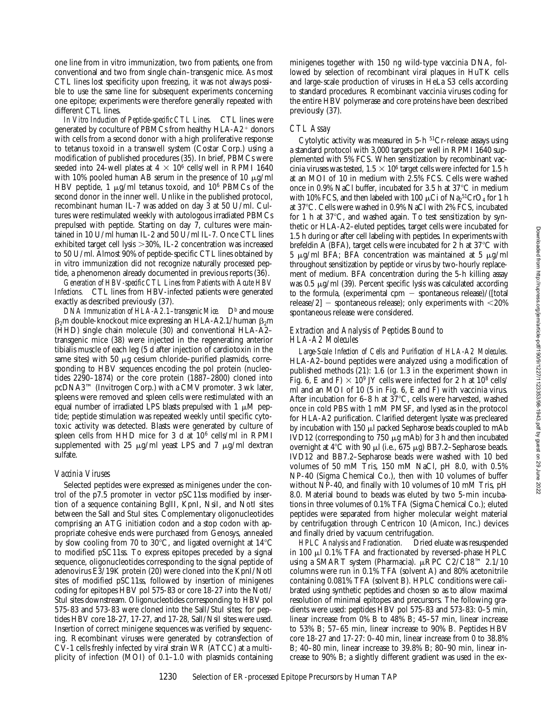one line from in vitro immunization, two from patients, one from conventional and two from single chain–transgenic mice. As most CTL lines lost specificity upon freezing, it was not always possible to use the same line for subsequent experiments concerning one epitope; experiments were therefore generally repeated with different CTL lines.

*In Vitro Induction of Peptide-specific CTL Lines.* CTL lines were generated by coculture of PBMCs from healthy  $HLA-A2$ <sup>+</sup> donors with cells from a second donor with a high proliferative response to tetanus toxoid in a transwell system (Costar Corp.) using a modification of published procedures (35). In brief, PBMCs were seeded into 24-well plates at  $4 \times 10^6$  cells/well in RPMI 1640 with 10% pooled human AB serum in the presence of 10  $\mu$ g/ml HBV peptide, 1  $\mu$ g/ml tetanus toxoid, and 10<sup>6</sup> PBMCs of the second donor in the inner well. Unlike in the published protocol, recombinant human IL-7 was added on day 3 at 50 U/ml. Cultures were restimulated weekly with autologous irradiated PBMCs prepulsed with peptide. Starting on day 7, cultures were maintained in 10 U/ml human IL-2 and 50 U/ml IL-7. Once CTL lines exhibited target cell lysis  $>30\%$ , IL-2 concentration was increased to 50 U/ml. Almost 90% of peptide-specific CTL lines obtained by in vitro immunization did not recognize naturally processed peptide, a phenomenon already documented in previous reports (36).

*Generation of HBV-specific CTL Lines from Patients with Acute HBV Infections.* CTL lines from HBV-infected patients were generated exactly as described previously (37).

*DNA Immunization of HLA-A2.1–transgenic Mice.* D<sup>b</sup> and mouse  $\beta_2$ m double-knockout mice expressing an HLA-A2.1/human  $\beta_2$ m (HHD) single chain molecule (30) and conventional HLA-A2– transgenic mice (38) were injected in the regenerating anterior tibialis muscle of each leg (5 d after injection of cardiotoxin in the same sites) with 50  $\mu$ g cesium chloride–purified plasmids, corresponding to HBV sequences encoding the pol protein (nucleotides 2290–1874) or the core protein (1887–2800) cloned into pcDNA3™ (Invitrogen Corp.) with a CMV promoter. 3 wk later, spleens were removed and spleen cells were restimulated with an equal number of irradiated LPS blasts prepulsed with 1  $\mu$ M peptide; peptide stimulation was repeated weekly until specific cytotoxic activity was detected. Blasts were generated by culture of spleen cells from HHD mice for 3 d at 106 cells/ml in RPMI supplemented with 25  $\mu$ g/ml yeast LPS and 7  $\mu$ g/ml dextran sulfate.

## *Vaccinia Viruses*

Selected peptides were expressed as minigenes under the control of the p7.5 promoter in vector pSC11ss modified by insertion of a sequence containing BglII, KpnI, NsiI, and NotI sites between the SalI and StuI sites. Complementary oligonucleotides comprising an ATG initiation codon and a stop codon with appropriate cohesive ends were purchased from Genosys, annealed by slow cooling from 70 to 30 $^{\circ}$ C, and ligated overnight at 14 $^{\circ}$ C to modified pSC11ss. To express epitopes preceded by a signal sequence, oligonucleotides corresponding to the signal peptide of adenovirus E3/19K protein (20) were cloned into the KpnI/NotI sites of modified pSC11ss, followed by insertion of minigenes coding for epitopes HBV pol 575-83 or core 18-27 into the NotI/ StuI sites downstream. Oligonucleotides corresponding to HBV pol 575-83 and 573-83 were cloned into the SalI/StuI sites; for peptides HBV core 18-27, 17-27, and 17-28, SalI/NsiI sites were used. Insertion of correct minigene sequences was verified by sequencing. Recombinant viruses were generated by cotransfection of CV-1 cells freshly infected by viral strain WR (ATCC) at a multiplicity of infection (MOI) of 0.1–1.0 with plasmids containing

minigenes together with 150 ng wild-type vaccinia DNA, followed by selection of recombinant viral plaques in HuTK cells and large-scale production of viruses in HeLa S3 cells according to standard procedures. Recombinant vaccinia viruses coding for the entire HBV polymerase and core proteins have been described previously (37).

# *CTL Assay*

Cytolytic activity was measured in 5-h <sup>51</sup>Cr-release assays using a standard protocol with 3,000 targets per well in RPMI 1640 supplemented with 5% FCS. When sensitization by recombinant vaccinia viruses was tested,  $1.5 \times 10^6$  target cells were infected for 1.5 h at an MOI of 10 in medium with 2.5% FCS. Cells were washed once in 0.9% NaCl buffer, incubated for 3.5 h at 37 $^{\circ}$ C in medium with 10% FCS, and then labeled with 100  $\mu$ Ci of Na $_2$ <sup>51</sup>CrO<sub>4</sub> for 1 h at 37°C. Cells were washed in 0.9% NaCl with 2% FCS, incubated for 1 h at  $37^{\circ}$ C, and washed again. To test sensitization by synthetic or HLA-A2–eluted peptides, target cells were incubated for 1.5 h during or after cell labeling with peptides. In experiments with brefeldin A (BFA), target cells were incubated for 2 h at  $37^{\circ}$ C with 5  $\mu$ g/ml BFA; BFA concentration was maintained at 5  $\mu$ g/ml throughout sensitization by peptide or virus by two-hourly replacement of medium. BFA concentration during the 5-h killing assay was  $0.5 \mu g/ml$  (39). Percent specific lysis was calculated according to the formula, (experimental cpm  $-$  spontaneous release)/([total release/2]  $-$  spontaneous release); only experiments with  $<$ 20% spontaneous release were considered.

## *Extraction and Analysis of Peptides Bound to HLA-A2 Molecules*

*Large-Scale Infection of Cells and Purification of HLA-A2 Molecules.* HLA-A2–bound peptides were analyzed using a modification of published methods (21): 1.6 (or 1.3 in the experiment shown in Fig. 6, E and F)  $\times$  10<sup>9</sup> JY cells were infected for 2 h at 10<sup>8</sup> cells/ ml and an MOI of 10 (5 in Fig. 6, E and F) with vaccinia virus. After incubation for 6–8 h at  $37^{\circ}$ C, cells were harvested, washed once in cold PBS with 1 mM PMSF, and lysed as in the protocol for HLA-A2 purification. Clarified detergent lysate was precleared by incubation with 150  $\mu$ l packed Sepharose beads coupled to mAb IVD12 (corresponding to  $750 \mu$ g mAb) for 3 h and then incubated overnight at  $4^{\circ}$ C with 90 µl (i.e., 675 µg) BB7.2–Sepharose beads. IVD12 and BB7.2–Sepharose beads were washed with 10 bed volumes of 50 mM Tris, 150 mM NaCl, pH 8.0, with 0.5% NP-40 (Sigma Chemical Co.), then with 10 volumes of buffer without NP-40, and finally with 10 volumes of 10 mM Tris, pH 8.0. Material bound to beads was eluted by two 5-min incubations in three volumes of 0.1% TFA (Sigma Chemical Co.); eluted peptides were separated from higher molecular weight material by centrifugation through Centricon 10 (Amicon, Inc.) devices and finally dried by vacuum centrifugation.

*HPLC Analysis and Fractionation.* Dried eluate was resuspended in 100  $\mu$ l 0.1% TFA and fractionated by reversed-phase HPLC using a SMART system (Pharmacia). µRPC C2/C18™ 2.1/10 columns were run in 0.1% TFA (solvent A) and 80% acetonitrile containing 0.081% TFA (solvent B). HPLC conditions were calibrated using synthetic peptides and chosen so as to allow maximal resolution of minimal epitopes and precursors. The following gradients were used: peptides HBV pol 575-83 and 573-83: 0–5 min, linear increase from 0% B to 48% B; 45–57 min, linear increase to 53% B; 57–65 min, linear increase to 90% B. Peptides HBV core 18-27 and 17-27: 0–40 min, linear increase from 0 to 38.8% B; 40–80 min, linear increase to 39.8% B; 80–90 min, linear increase to 90% B; a slightly different gradient was used in the ex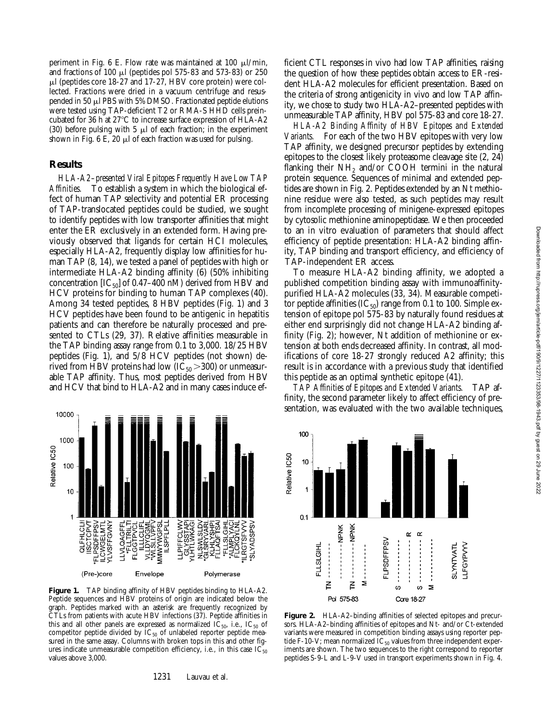periment in Fig. 6 E. Flow rate was maintained at 100  $\mu$ l/min, and fractions of 100  $\mu$ l (peptides pol 575-83 and 573-83) or 250  $\mu$ l (peptides core 18-27 and 17-27, HBV core protein) were collected. Fractions were dried in a vacuum centrifuge and resuspended in 50  $\mu$ l PBS with 5% DMSO. Fractionated peptide elutions were tested using TAP-deficient T2 or RMA-S HHD cells preincubated for 36 h at 27°C to increase surface expression of HLA-A2 (30) before pulsing with 5  $\mu$ l of each fraction; in the experiment shown in Fig. 6 E, 20  $\mu$ l of each fraction was used for pulsing.

# **Results**

*HLA-A2–presented Viral Epitopes Frequently Have Low TAP Affinities.* To establish a system in which the biological effect of human TAP selectivity and potential ER processing of TAP-translocated peptides could be studied, we sought to identify peptides with low transporter affinities that might enter the ER exclusively in an extended form. Having previously observed that ligands for certain HCI molecules, especially HLA-A2, frequently display low affinities for human TAP (8, 14), we tested a panel of peptides with high or intermediate HLA-A2 binding affinity (6) (50% inhibiting concentration  $[IC_{50}]$  of 0.47–400 nM) derived from HBV and HCV proteins for binding to human TAP complexes (40). Among 34 tested peptides, 8 HBV peptides (Fig. 1) and 3 HCV peptides have been found to be antigenic in hepatitis patients and can therefore be naturally processed and presented to CTLs (29, 37). Relative affinities measurable in the TAP binding assay range from 0.1 to 3,000. 18/25 HBV peptides (Fig. 1), and 5/8 HCV peptides (not shown) derived from HBV proteins had low  $(IC_{50} > 300)$  or unmeasurable TAP affinity. Thus, most peptides derived from HBV and HCV that bind to HLA-A2 and in many cases induce ef-



**Figure 1.** TAP binding affinity of HBV peptides binding to HLA-A2. Peptide sequences and HBV proteins of origin are indicated below the graph. Peptides marked with an asterisk are frequently recognized by CTLs from patients with acute HBV infections (37). Peptide affinities in this and all other panels are expressed as normalized  $\dot{IC}_{50}$ , i.e.,  $IC_{50}$  of competitor peptide divided by  $IC_{50}$  of unlabeled reporter peptide measured in the same assay. Columns with broken tops in this and other figures indicate unmeasurable competition efficiency, i.e., in this case  $IC_{50}$ values above 3,000.

ficient CTL responses in vivo had low TAP affinities, raising the question of how these peptides obtain access to ER-resident HLA-A2 molecules for efficient presentation. Based on the criteria of strong antigenicity in vivo and low TAP affinity, we chose to study two HLA-A2–presented peptides with unmeasurable TAP affinity, HBV pol 575-83 and core 18-27.

*HLA-A2 Binding Affinity of HBV Epitopes and Extended Variants.* For each of the two HBV epitopes with very low TAP affinity, we designed precursor peptides by extending epitopes to the closest likely proteasome cleavage site (2, 24) flanking their  $NH_2$  and/or COOH termini in the natural protein sequence. Sequences of minimal and extended peptides are shown in Fig. 2. Peptides extended by an Nt methionine residue were also tested, as such peptides may result from incomplete processing of minigene-expressed epitopes by cytosolic methionine aminopeptidase. We then proceeded to an in vitro evaluation of parameters that should affect efficiency of peptide presentation: HLA-A2 binding affinity, TAP binding and transport efficiency, and efficiency of TAP-independent ER access.

To measure HLA-A2 binding affinity, we adopted a published competition binding assay with immunoaffinitypurified HLA-A2 molecules (33, 34). Measurable competitor peptide affinities  $(IC_{50})$  range from 0.1 to 100. Simple extension of epitope pol 575-83 by naturally found residues at either end surprisingly did not change HLA-A2 binding affinity (Fig. 2); however, Nt addition of methionine or extension at both ends decreased affinity. In contrast, all modifications of core 18-27 strongly reduced A2 affinity; this result is in accordance with a previous study that identified this peptide as an optimal synthetic epitope (41).

*TAP Affinities of Epitopes and Extended Variants.* TAP affinity, the second parameter likely to affect efficiency of presentation, was evaluated with the two available techniques,



**Figure 2.** HLA-A2–binding affinities of selected epitopes and precursors. HLA-A2–binding affinities of epitopes and Nt- and/or Ct-extended variants were measured in competition binding assays using reporter peptide F-10-V; mean normalized  $IC_{50}$  values from three independent experiments are shown. The two sequences to the right correspond to reporter peptides S-9-L and L-9-V used in transport experiments shown in Fig. 4.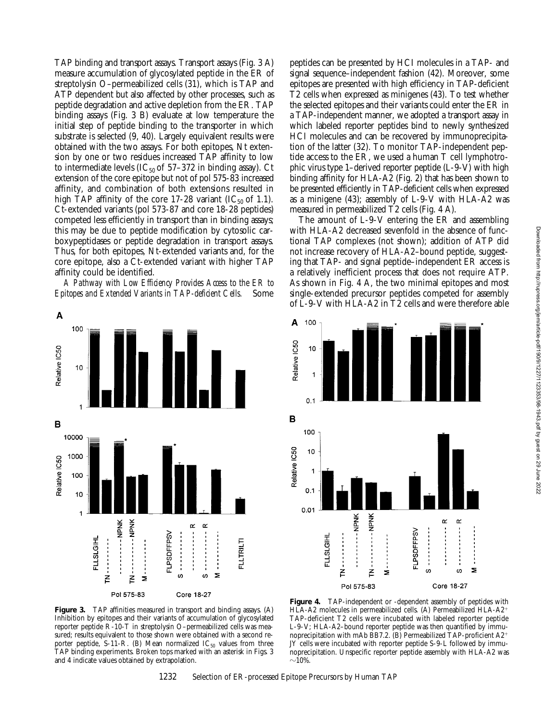TAP binding and transport assays. Transport assays (Fig. 3 A) measure accumulation of glycosylated peptide in the ER of streptolysin O–permeabilized cells (31), which is TAP and ATP dependent but also affected by other processes, such as peptide degradation and active depletion from the ER. TAP binding assays (Fig. 3 B) evaluate at low temperature the initial step of peptide binding to the transporter in which substrate is selected (9, 40). Largely equivalent results were obtained with the two assays. For both epitopes, Nt extension by one or two residues increased TAP affinity to low to intermediate levels (IC $_{50}$  of 57–372 in binding assay). Ct extension of the core epitope but not of pol 575-83 increased affinity, and combination of both extensions resulted in high TAP affinity of the core 17-28 variant (IC $_{50}$  of 1.1). Ct-extended variants (pol 573-87 and core 18-28 peptides) competed less efficiently in transport than in binding assays; this may be due to peptide modification by cytosolic carboxypeptidases or peptide degradation in transport assays. Thus, for both epitopes, Nt-extended variants and, for the core epitope, also a Ct-extended variant with higher TAP affinity could be identified.

*A Pathway with Low Efficiency Provides Access to the ER to Epitopes and Extended Variants in TAP-deficient Cells.* Some

peptides can be presented by HCI molecules in a TAP- and signal sequence–independent fashion (42). Moreover, some epitopes are presented with high efficiency in TAP-deficient T2 cells when expressed as minigenes (43). To test whether the selected epitopes and their variants could enter the ER in a TAP-independent manner, we adopted a transport assay in which labeled reporter peptides bind to newly synthesized HCI molecules and can be recovered by immunoprecipitation of the latter (32). To monitor TAP-independent peptide access to the ER, we used a human T cell lymphotrophic virus type 1–derived reporter peptide (L-9-V) with high binding affinity for HLA-A2 (Fig. 2) that has been shown to be presented efficiently in TAP-deficient cells when expressed as a minigene (43); assembly of L-9-V with HLA-A2 was measured in permeabilized T2 cells (Fig. 4 A).

The amount of L-9-V entering the ER and assembling with HLA-A2 decreased sevenfold in the absence of functional TAP complexes (not shown); addition of ATP did not increase recovery of HLA-A2–bound peptide, suggesting that TAP- and signal peptide–independent ER access is a relatively inefficient process that does not require ATP. As shown in Fig. 4 A, the two minimal epitopes and most single-extended precursor peptides competed for assembly of L-9-V with HLA-A2 in T2 cells and were therefore able



![](_page_5_Figure_5.jpeg)

**Figure 3.** TAP affinities measured in transport and binding assays. (A) Inhibition by epitopes and their variants of accumulation of glycosylated reporter peptide R-10-T in streptolysin O–permeabilized cells was measured; results equivalent to those shown were obtained with a second reporter peptide, S-11-R. (B) Mean normalized  $IC_{50}$  values from three TAP binding experiments. Broken tops marked with an asterisk in Figs. 3 and 4 indicate values obtained by extrapolation.

**Figure 4.** TAP-independent or -dependent assembly of peptides with HLA-A2 molecules in permeabilized cells. (A) Permeabilized HLA-A2<sup>+</sup> TAP-deficient T2 cells were incubated with labeled reporter peptide L-9-V; HLA-A2–bound reporter peptide was then quantified by immunoprecipitation with mAb BB7.2. (B) Permeabilized TAP-proficient A2<sup>+</sup> JY cells were incubated with reporter peptide S-9-L followed by immunoprecipitation. Unspecific reporter peptide assembly with HLA-A2 was  $\sim$ 10%.

1232 Selection of ER-processed Epitope Precursors by Human TAP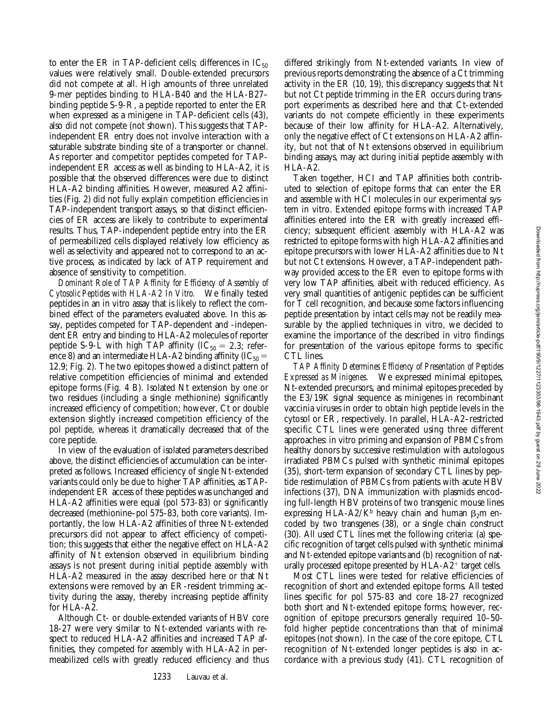to enter the ER in TAP-deficient cells; differences in  $IC_{50}$ values were relatively small. Double-extended precursors did not compete at all. High amounts of three unrelated 9-mer peptides binding to HLA-B40 and the HLA-B27– binding peptide S-9-R, a peptide reported to enter the ER when expressed as a minigene in TAP-deficient cells (43), also did not compete (not shown). This suggests that TAPindependent ER entry does not involve interaction with a saturable substrate binding site of a transporter or channel. As reporter and competitor peptides competed for TAPindependent ER access as well as binding to HLA-A2, it is possible that the observed differences were due to distinct HLA-A2 binding affinities. However, measured A2 affinities (Fig. 2) did not fully explain competition efficiencies in TAP-independent transport assays, so that distinct efficiencies of ER access are likely to contribute to experimental results. Thus, TAP-independent peptide entry into the ER of permeabilized cells displayed relatively low efficiency as well as selectivity and appeared not to correspond to an active process, as indicated by lack of ATP requirement and absence of sensitivity to competition.

*Dominant Role of TAP Affinity for Efficiency of Assembly of Cytosolic Peptides with HLA-A2 In Vitro.* We finally tested peptides in an in vitro assay that is likely to reflect the combined effect of the parameters evaluated above. In this assay, peptides competed for TAP-dependent and -independent ER entry and binding to HLA-A2 molecules of reporter peptide S-9-L with high TAP affinity (IC<sub>50</sub> = 2.3; reference 8) and an intermediate HLA-A2 binding affinity ( $IC_{50}$  = 12.9; Fig. 2). The two epitopes showed a distinct pattern of relative competition efficiencies of minimal and extended epitope forms (Fig. 4 B). Isolated Nt extension by one or two residues (including a single methionine) significantly increased efficiency of competition; however, Ct or double extension slightly increased competition efficiency of the pol peptide, whereas it dramatically decreased that of the core peptide.

In view of the evaluation of isolated parameters described above, the distinct efficiencies of accumulation can be interpreted as follows. Increased efficiency of single Nt-extended variants could only be due to higher TAP affinities, as TAPindependent ER access of these peptides was unchanged and HLA-A2 affinities were equal (pol 573-83) or significantly decreased (methionine–pol 575-83, both core variants). Importantly, the low HLA-A2 affinities of three Nt-extended precursors did not appear to affect efficiency of competition; this suggests that either the negative effect on HLA-A2 affinity of Nt extension observed in equilibrium binding assays is not present during initial peptide assembly with HLA-A2 measured in the assay described here or that Nt extensions were removed by an ER-resident trimming activity during the assay, thereby increasing peptide affinity for HLA-A2.

Although Ct- or double-extended variants of HBV core 18-27 were very similar to Nt-extended variants with respect to reduced HLA-A2 affinities and increased TAP affinities, they competed for assembly with HLA-A2 in permeabilized cells with greatly reduced efficiency and thus

differed strikingly from Nt-extended variants. In view of previous reports demonstrating the absence of a Ct trimming activity in the ER (10, 19), this discrepancy suggests that Nt but not Ct peptide trimming in the ER occurs during transport experiments as described here and that Ct-extended variants do not compete efficiently in these experiments because of their low affinity for HLA-A2. Alternatively, only the negative effect of Ct extensions on HLA-A2 affinity, but not that of Nt extensions observed in equilibrium binding assays, may act during initial peptide assembly with HLA-A2.

Taken together, HCI and TAP affinities both contributed to selection of epitope forms that can enter the ER and assemble with HCI molecules in our experimental system in vitro. Extended epitope forms with increased TAP affinities entered into the ER with greatly increased efficiency; subsequent efficient assembly with HLA-A2 was restricted to epitope forms with high HLA-A2 affinities and epitope precursors with lower HLA-A2 affinities due to Nt but not Ct extensions. However, a TAP-independent pathway provided access to the ER even to epitope forms with very low TAP affinities, albeit with reduced efficiency. As very small quantities of antigenic peptides can be sufficient for T cell recognition, and because some factors influencing peptide presentation by intact cells may not be readily measurable by the applied techniques in vitro, we decided to examine the importance of the described in vitro findings for presentation of the various epitope forms to specific CTL lines.

*TAP Affinity Determines Efficiency of Presentation of Peptides Expressed as Minigenes.* We expressed minimal epitopes, Nt-extended precursors, and minimal epitopes preceded by the E3/19K signal sequence as minigenes in recombinant vaccinia viruses in order to obtain high peptide levels in the cytosol or ER, respectively. In parallel, HLA-A2–restricted specific CTL lines were generated using three different approaches: in vitro priming and expansion of PBMCs from healthy donors by successive restimulation with autologous irradiated PBMCs pulsed with synthetic minimal epitopes (35), short-term expansion of secondary CTL lines by peptide restimulation of PBMCs from patients with acute HBV infections (37), DNA immunization with plasmids encoding full-length HBV proteins of two transgenic mouse lines expressing HLA-A2/K<sup>b</sup> heavy chain and human  $\beta_2$ m encoded by two transgenes (38), or a single chain construct (30). All used CTL lines met the following criteria: (a) specific recognition of target cells pulsed with synthetic minimal and Nt-extended epitope variants and (b) recognition of naturally processed epitope presented by  $HLA-A2$ <sup>+</sup> target cells.

Most CTL lines were tested for relative efficiencies of recognition of short and extended epitope forms. All tested lines specific for pol 575-83 and core 18-27 recognized both short and Nt-extended epitope forms; however, recognition of epitope precursors generally required 10–50 fold higher peptide concentrations than that of minimal epitopes (not shown). In the case of the core epitope, CTL recognition of Nt-extended longer peptides is also in accordance with a previous study (41). CTL recognition of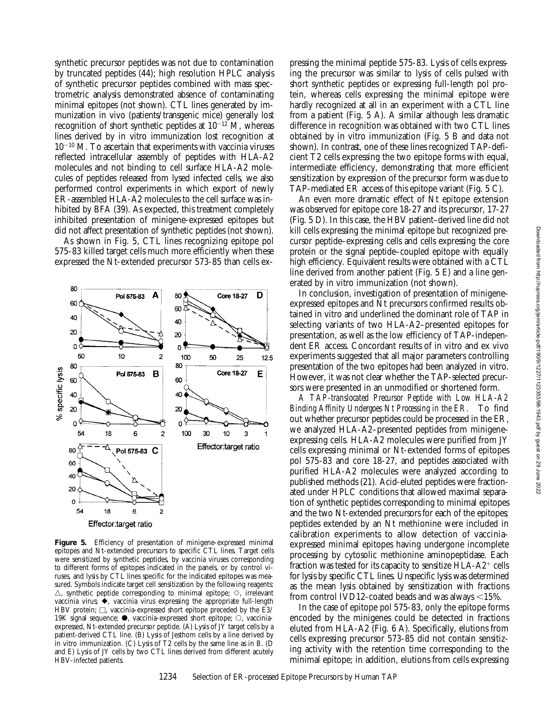synthetic precursor peptides was not due to contamination by truncated peptides (44); high resolution HPLC analysis of synthetic precursor peptides combined with mass spectrometric analysis demonstrated absence of contaminating minimal epitopes (not shown). CTL lines generated by immunization in vivo (patients/transgenic mice) generally lost recognition of short synthetic peptides at  $10^{-12}$  M, whereas lines derived by in vitro immunization lost recognition at  $10^{-10}$  M. To ascertain that experiments with vaccinia viruses reflected intracellular assembly of peptides with HLA-A2 molecules and not binding to cell surface HLA-A2 molecules of peptides released from lysed infected cells, we also performed control experiments in which export of newly ER-assembled HLA-A2 molecules to the cell surface was inhibited by BFA (39). As expected, this treatment completely inhibited presentation of minigene-expressed epitopes but did not affect presentation of synthetic peptides (not shown).

As shown in Fig. 5, CTL lines recognizing epitope pol 575-83 killed target cells much more efficiently when these expressed the Nt-extended precursor 573-85 than cells ex-

![](_page_7_Figure_2.jpeg)

Figure 5. Efficiency of presentation of minigene-expressed minimal epitopes and Nt-extended precursors to specific CTL lines. Target cells were sensitized by synthetic peptides, by vaccinia viruses corresponding to different forms of epitopes indicated in the panels, or by control viruses, and lysis by CTL lines specific for the indicated epitopes was measured. Symbols indicate target cell sensitization by the following reagents:  $\triangle$ , synthetic peptide corresponding to minimal epitope;  $\diamond$ , irrelevant vaccinia virus;  $\stackrel{\bullet}{\blacktriangleright}$ , vaccinia virus expressing the appropriate full-length HBV protein;  $\Box$ , vaccinia-expressed short epitope preceded by the E3/ 19K signal sequence;  $\bullet$ , vaccinia-expressed short epitope;  $\circ$ , vacciniaexpressed, Nt-extended precursor peptide. (A) Lysis of  $\overline{Y}$  target cells by a patient-derived CTL line. (B) Lysis of Jesthom cells by a line derived by in vitro immunization. (C) Lysis of T2 cells by the same line as in B. (D and E) Lysis of JY cells by two CTL lines derived from different acutely HBV-infected patients.

pressing the minimal peptide 575-83. Lysis of cells expressing the precursor was similar to lysis of cells pulsed with short synthetic peptides or expressing full-length pol protein, whereas cells expressing the minimal epitope were hardly recognized at all in an experiment with a CTL line from a patient (Fig. 5 A). A similar although less dramatic difference in recognition was obtained with two CTL lines obtained by in vitro immunization (Fig. 5 B and data not shown). In contrast, one of these lines recognized TAP-deficient T2 cells expressing the two epitope forms with equal, intermediate efficiency, demonstrating that more efficient sensitization by expression of the precursor form was due to TAP-mediated ER access of this epitope variant (Fig. 5 C).

An even more dramatic effect of Nt epitope extension was observed for epitope core 18-27 and its precursor, 17-27 (Fig. 5 D). In this case, the HBV patient–derived line did not kill cells expressing the minimal epitope but recognized precursor peptide–expressing cells and cells expressing the core protein or the signal peptide–coupled epitope with equally high efficiency. Equivalent results were obtained with a CTL line derived from another patient (Fig. 5 E) and a line generated by in vitro immunization (not shown).

In conclusion, investigation of presentation of minigeneexpressed epitopes and Nt precursors confirmed results obtained in vitro and underlined the dominant role of TAP in selecting variants of two HLA-A2–presented epitopes for presentation, as well as the low efficiency of TAP-independent ER access. Concordant results of in vitro and ex vivo experiments suggested that all major parameters controlling presentation of the two epitopes had been analyzed in vitro. However, it was not clear whether the TAP-selected precursors were presented in an unmodified or shortened form.

*A TAP-translocated Precursor Peptide with Low HLA-A2 Binding Affinity Undergoes Nt Processing in the ER.* To find out whether precursor peptides could be processed in the ER, we analyzed HLA-A2–presented peptides from minigeneexpressing cells. HLA-A2 molecules were purified from JY cells expressing minimal or Nt-extended forms of epitopes pol 575-83 and core 18-27, and peptides associated with purified HLA-A2 molecules were analyzed according to published methods (21). Acid-eluted peptides were fractionated under HPLC conditions that allowed maximal separation of synthetic peptides corresponding to minimal epitopes and the two Nt-extended precursors for each of the epitopes; peptides extended by an Nt methionine were included in calibration experiments to allow detection of vacciniaexpressed minimal epitopes having undergone incomplete processing by cytosolic methionine aminopeptidase. Each fraction was tested for its capacity to sensitize  $HLA-A2^+$  cells for lysis by specific CTL lines. Unspecific lysis was determined as the mean lysis obtained by sensitization with fractions from control IVD12-coated beads and was always  $\leq$ 15%.

In the case of epitope pol 575-83, only the epitope forms encoded by the minigenes could be detected in fractions eluted from HLA-A2 (Fig. 6 A). Specifically, elutions from cells expressing precursor 573-85 did not contain sensitizing activity with the retention time corresponding to the minimal epitope; in addition, elutions from cells expressing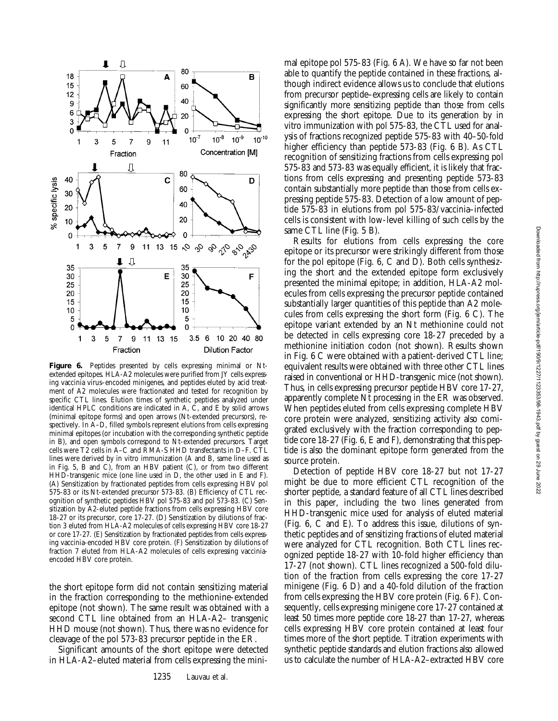Downloaded from http://rupress.org/jem/article-pdf/190/9/1227/1123353/98-1943.pdf by guest on 29 June 2022

Downloaded from http://rupress.org/jem/article-pdf/190/9/12/27/1123353/98-1943.pdf by guest on 29 June 2022

![](_page_8_Figure_1.jpeg)

**Figure 6.** Peptides presented by cells expressing minimal or Ntextended epitopes. HLA-A2 molecules were purified from JY cells expressing vaccinia virus–encoded minigenes, and peptides eluted by acid treatment of A2 molecules were fractionated and tested for recognition by specific CTL lines. Elution times of synthetic peptides analyzed under identical HPLC conditions are indicated in A, C, and E by solid arrows (minimal epitope forms) and open arrows (Nt-extended precursors), respectively. In A–D, filled symbols represent elutions from cells expressing minimal epitopes (or incubation with the corresponding synthetic peptide in B), and open symbols correspond to Nt-extended precursors. Target cells were T2 cells in A–C and RMA-S HHD transfectants in D–F. CTL lines were derived by in vitro immunization (A and B, same line used as in Fig. 5, B and C), from an HBV patient (C), or from two different HHD-transgenic mice (one line used in D, the other used in E and F). (A) Sensitization by fractionated peptides from cells expressing HBV pol 575-83 or its Nt-extended precursor 573-83. (B) Efficiency of CTL recognition of synthetic peptides HBV pol 575-83 and pol 573-83. (C) Sensitization by A2-eluted peptide fractions from cells expressing HBV core 18-27 or its precursor, core 17-27. (D) Sensitization by dilutions of fraction 3 eluted from HLA-A2 molecules of cells expressing HBV core 18-27 or core 17-27. (E) Sensitization by fractionated peptides from cells expressing vaccinia-encoded HBV core protein. (F) Sensitization by dilutions of fraction 7 eluted from HLA-A2 molecules of cells expressing vacciniaencoded HBV core protein.

the short epitope form did not contain sensitizing material in the fraction corresponding to the methionine-extended epitope (not shown). The same result was obtained with a second CTL line obtained from an HLA-A2– transgenic HHD mouse (not shown). Thus, there was no evidence for cleavage of the pol 573-83 precursor peptide in the ER.

Significant amounts of the short epitope were detected in HLA-A2–eluted material from cells expressing the minimal epitope pol 575-83 (Fig. 6 A). We have so far not been able to quantify the peptide contained in these fractions, although indirect evidence allows us to conclude that elutions from precursor peptide–expressing cells are likely to contain significantly more sensitizing peptide than those from cells expressing the short epitope. Due to its generation by in vitro immunization with pol 575-83, the CTL used for analysis of fractions recognized peptide 575-83 with 40–50-fold higher efficiency than peptide 573-83 (Fig. 6 B). As CTL recognition of sensitizing fractions from cells expressing pol 575-83 and 573-83 was equally efficient, it is likely that fractions from cells expressing and presenting peptide 573-83 contain substantially more peptide than those from cells expressing peptide 575-83. Detection of a low amount of peptide 575-83 in elutions from pol 575-83/vaccinia–infected cells is consistent with low-level killing of such cells by the same CTL line (Fig. 5 B).

Results for elutions from cells expressing the core epitope or its precursor were strikingly different from those for the pol epitope (Fig. 6, C and D). Both cells synthesizing the short and the extended epitope form exclusively presented the minimal epitope; in addition, HLA-A2 molecules from cells expressing the precursor peptide contained substantially larger quantities of this peptide than A2 molecules from cells expressing the short form (Fig. 6 C). The epitope variant extended by an Nt methionine could not be detected in cells expressing core 18-27 preceded by a methionine initiation codon (not shown). Results shown in Fig. 6 C were obtained with a patient-derived CTL line; equivalent results were obtained with three other CTL lines raised in conventional or HHD-transgenic mice (not shown). Thus, in cells expressing precursor peptide HBV core 17-27, apparently complete Nt processing in the ER was observed. When peptides eluted from cells expressing complete HBV core protein were analyzed, sensitizing activity also comigrated exclusively with the fraction corresponding to peptide core 18-27 (Fig. 6, E and F), demonstrating that this peptide is also the dominant epitope form generated from the source protein.

Detection of peptide HBV core 18-27 but not 17-27 might be due to more efficient CTL recognition of the shorter peptide, a standard feature of all CTL lines described in this paper, including the two lines generated from HHD-transgenic mice used for analysis of eluted material (Fig. 6, C and E). To address this issue, dilutions of synthetic peptides and of sensitizing fractions of eluted material were analyzed for CTL recognition. Both CTL lines recognized peptide 18-27 with 10-fold higher efficiency than 17-27 (not shown). CTL lines recognized a 500-fold dilution of the fraction from cells expressing the core 17-27 minigene (Fig. 6 D) and a 40-fold dilution of the fraction from cells expressing the HBV core protein (Fig. 6 F). Consequently, cells expressing minigene core 17-27 contained at least 50 times more peptide core 18-27 than 17-27, whereas cells expressing HBV core protein contained at least four times more of the short peptide. Titration experiments with synthetic peptide standards and elution fractions also allowed us to calculate the number of HLA-A2–extracted HBV core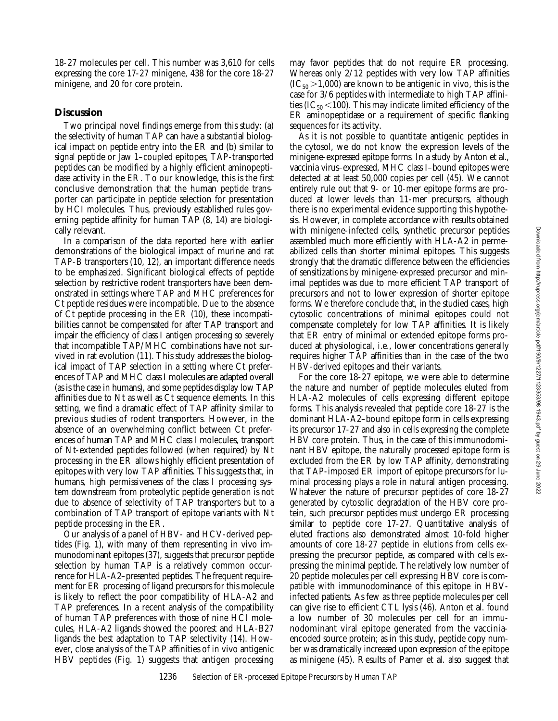18-27 molecules per cell. This number was 3,610 for cells expressing the core 17-27 minigene, 438 for the core 18-27 minigene, and 20 for core protein.

## **Discussion**

Two principal novel findings emerge from this study: (a) the selectivity of human TAP can have a substantial biological impact on peptide entry into the ER and (b) similar to signal peptide or Jaw 1–coupled epitopes, TAP-transported peptides can be modified by a highly efficient aminopeptidase activity in the ER. To our knowledge, this is the first conclusive demonstration that the human peptide transporter can participate in peptide selection for presentation by HCI molecules. Thus, previously established rules governing peptide affinity for human TAP (8, 14) are biologically relevant.

In a comparison of the data reported here with earlier demonstrations of the biological impact of murine and rat TAP-B transporters (10, 12), an important difference needs to be emphasized. Significant biological effects of peptide selection by restrictive rodent transporters have been demonstrated in settings where TAP and MHC preferences for Ct peptide residues were incompatible. Due to the absence of Ct peptide processing in the ER (10), these incompatibilities cannot be compensated for after TAP transport and impair the efficiency of class I antigen processing so severely that incompatible TAP/MHC combinations have not survived in rat evolution (11). This study addresses the biological impact of TAP selection in a setting where Ct preferences of TAP and MHC class I molecules are adapted overall (as is the case in humans), and some peptides display low TAP affinities due to Nt as well as Ct sequence elements. In this setting, we find a dramatic effect of TAP affinity similar to previous studies of rodent transporters. However, in the absence of an overwhelming conflict between Ct preferences of human TAP and MHC class I molecules, transport of Nt-extended peptides followed (when required) by Nt processing in the ER allows highly efficient presentation of epitopes with very low TAP affinities. This suggests that, in humans, high permissiveness of the class I processing system downstream from proteolytic peptide generation is not due to absence of selectivity of TAP transporters but to a combination of TAP transport of epitope variants with Nt peptide processing in the ER.

Our analysis of a panel of HBV- and HCV-derived peptides (Fig. 1), with many of them representing in vivo immunodominant epitopes (37), suggests that precursor peptide selection by human TAP is a relatively common occurrence for HLA-A2–presented peptides. The frequent requirement for ER processing of ligand precursors for this molecule is likely to reflect the poor compatibility of HLA-A2 and TAP preferences. In a recent analysis of the compatibility of human TAP preferences with those of nine HCI molecules, HLA-A2 ligands showed the poorest and HLA-B27 ligands the best adaptation to TAP selectivity (14). However, close analysis of the TAP affinities of in vivo antigenic HBV peptides (Fig. 1) suggests that antigen processing

may favor peptides that do not require ER processing. Whereas only 2/12 peptides with very low TAP affinities  $(IC_{50} > 1,000)$  are known to be antigenic in vivo, this is the case for 3/6 peptides with intermediate to high TAP affinities (IC $_{50}$  < 100). This may indicate limited efficiency of the ER aminopeptidase or a requirement of specific flanking sequences for its activity.

As it is not possible to quantitate antigenic peptides in the cytosol, we do not know the expression levels of the minigene-expressed epitope forms. In a study by Anton et al., vaccinia virus–expressed, MHC class I–bound epitopes were detected at at least 50,000 copies per cell (45). We cannot entirely rule out that 9- or 10-mer epitope forms are produced at lower levels than 11-mer precursors, although there is no experimental evidence supporting this hypothesis. However, in complete accordance with results obtained with minigene-infected cells, synthetic precursor peptides assembled much more efficiently with HLA-A2 in permeabilized cells than shorter minimal epitopes. This suggests strongly that the dramatic difference between the efficiencies of sensitizations by minigene-expressed precursor and minimal peptides was due to more efficient TAP transport of precursors and not to lower expression of shorter epitope forms. We therefore conclude that, in the studied cases, high cytosolic concentrations of minimal epitopes could not compensate completely for low TAP affinities. It is likely that ER entry of minimal or extended epitope forms produced at physiological, i.e., lower concentrations generally requires higher TAP affinities than in the case of the two HBV-derived epitopes and their variants.

For the core 18-27 epitope, we were able to determine the nature and number of peptide molecules eluted from HLA-A2 molecules of cells expressing different epitope forms. This analysis revealed that peptide core 18-27 is the dominant HLA-A2–bound epitope form in cells expressing its precursor 17-27 and also in cells expressing the complete HBV core protein. Thus, in the case of this immunodominant HBV epitope, the naturally processed epitope form is excluded from the ER by low TAP affinity, demonstrating that TAP-imposed ER import of epitope precursors for luminal processing plays a role in natural antigen processing. Whatever the nature of precursor peptides of core 18-27 generated by cytosolic degradation of the HBV core protein, such precursor peptides must undergo ER processing similar to peptide core 17-27. Quantitative analysis of eluted fractions also demonstrated almost 10-fold higher amounts of core 18-27 peptide in elutions from cells expressing the precursor peptide, as compared with cells expressing the minimal peptide. The relatively low number of 20 peptide molecules per cell expressing HBV core is compatible with immunodominance of this epitope in HBVinfected patients. As few as three peptide molecules per cell can give rise to efficient CTL lysis (46). Anton et al. found a low number of 30 molecules per cell for an immunodominant viral epitope generated from the vacciniaencoded source protein; as in this study, peptide copy number was dramatically increased upon expression of the epitope as minigene (45). Results of Pamer et al. also suggest that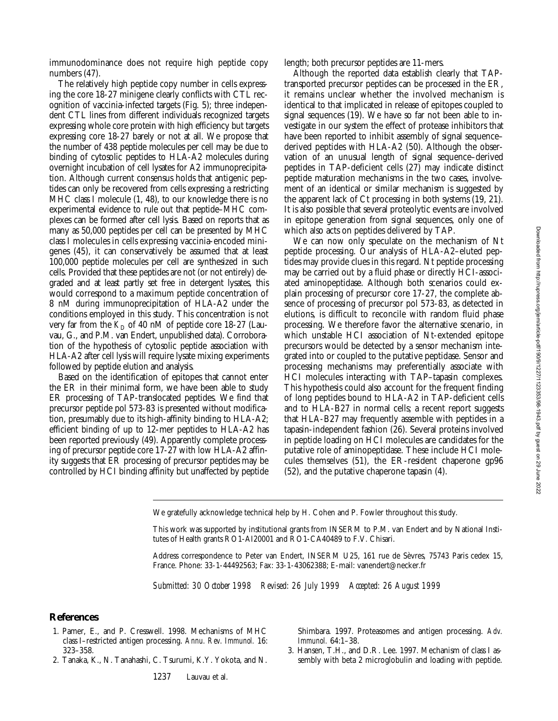immunodominance does not require high peptide copy numbers (47).

The relatively high peptide copy number in cells expressing the core 18-27 minigene clearly conflicts with CTL recognition of vaccinia-infected targets (Fig. 5); three independent CTL lines from different individuals recognized targets expressing whole core protein with high efficiency but targets expressing core 18-27 barely or not at all. We propose that the number of 438 peptide molecules per cell may be due to binding of cytosolic peptides to HLA-A2 molecules during overnight incubation of cell lysates for A2 immunoprecipitation. Although current consensus holds that antigenic peptides can only be recovered from cells expressing a restricting MHC class I molecule (1, 48), to our knowledge there is no experimental evidence to rule out that peptide–MHC complexes can be formed after cell lysis. Based on reports that as many as 50,000 peptides per cell can be presented by MHC class I molecules in cells expressing vaccinia-encoded minigenes (45), it can conservatively be assumed that at least 100,000 peptide molecules per cell are synthesized in such cells. Provided that these peptides are not (or not entirely) degraded and at least partly set free in detergent lysates, this would correspond to a maximum peptide concentration of 8 nM during immunoprecipitation of HLA-A2 under the conditions employed in this study. This concentration is not very far from the  $K<sub>D</sub>$  of 40 nM of peptide core 18-27 (Lauvau, G., and P.M. van Endert, unpublished data). Corroboration of the hypothesis of cytosolic peptide association with HLA-A2 after cell lysis will require lysate mixing experiments followed by peptide elution and analysis.

Based on the identification of epitopes that cannot enter the ER in their minimal form, we have been able to study ER processing of TAP-translocated peptides. We find that precursor peptide pol 573-83 is presented without modification, presumably due to its high-affinity binding to HLA-A2; efficient binding of up to 12-mer peptides to HLA-A2 has been reported previously (49). Apparently complete processing of precursor peptide core 17-27 with low HLA-A2 affinity suggests that ER processing of precursor peptides may be controlled by HCI binding affinity but unaffected by peptide length; both precursor peptides are 11-mers.

Although the reported data establish clearly that TAPtransported precursor peptides can be processed in the ER, it remains unclear whether the involved mechanism is identical to that implicated in release of epitopes coupled to signal sequences (19). We have so far not been able to investigate in our system the effect of protease inhibitors that have been reported to inhibit assembly of signal sequence– derived peptides with HLA-A2 (50). Although the observation of an unusual length of signal sequence–derived peptides in TAP-deficient cells (27) may indicate distinct peptide maturation mechanisms in the two cases, involvement of an identical or similar mechanism is suggested by the apparent lack of Ct processing in both systems (19, 21). It is also possible that several proteolytic events are involved in epitope generation from signal sequences, only one of which also acts on peptides delivered by TAP.

We can now only speculate on the mechanism of Nt peptide processing. Our analysis of HLA-A2–eluted peptides may provide clues in this regard. Nt peptide processing may be carried out by a fluid phase or directly HCI-associated aminopeptidase. Although both scenarios could explain processing of precursor core 17-27, the complete absence of processing of precursor pol 573-83, as detected in elutions, is difficult to reconcile with random fluid phase processing. We therefore favor the alternative scenario, in which unstable HCI association of Nt-extended epitope precursors would be detected by a sensor mechanism integrated into or coupled to the putative peptidase. Sensor and processing mechanisms may preferentially associate with HCI molecules interacting with TAP–tapasin complexes. This hypothesis could also account for the frequent finding of long peptides bound to HLA-A2 in TAP-deficient cells and to HLA-B27 in normal cells; a recent report suggests that HLA-B27 may frequently assemble with peptides in a tapasin-independent fashion (26). Several proteins involved in peptide loading on HCI molecules are candidates for the putative role of aminopeptidase. These include HCI molecules themselves (51), the ER-resident chaperone gp96 (52), and the putative chaperone tapasin (4).

We gratefully acknowledge technical help by H. Cohen and P. Fowler throughout this study.

This work was supported by institutional grants from INSERM to P.M. van Endert and by National Institutes of Health grants RO1-AI20001 and RO1-CA40489 to F.V. Chisari.

Address correspondence to Peter van Endert, INSERM U25, 161 rue de Sèvres, 75743 Paris cedex 15, France. Phone: 33-1-44492563; Fax: 33-1-43062388; E-mail: vanendert@necker.fr

*Submitted: 30 October 1998 Revised: 26 July 1999 Accepted: 26 August 1999*

#### **References**

- 1. Pamer, E., and P. Cresswell. 1998. Mechanisms of MHC class I–restricted antigen processing. *Annu. Rev. Immunol.* 16: 323–358.
- 2. Tanaka, K., N. Tanahashi, C. Tsurumi, K.Y. Yokota, and N.

Shimbara. 1997. Proteasomes and antigen processing. *Adv. Immunol.* 64:1–38.

3. Hansen, T.H., and D.R. Lee. 1997. Mechanism of class I assembly with beta 2 microglobulin and loading with peptide.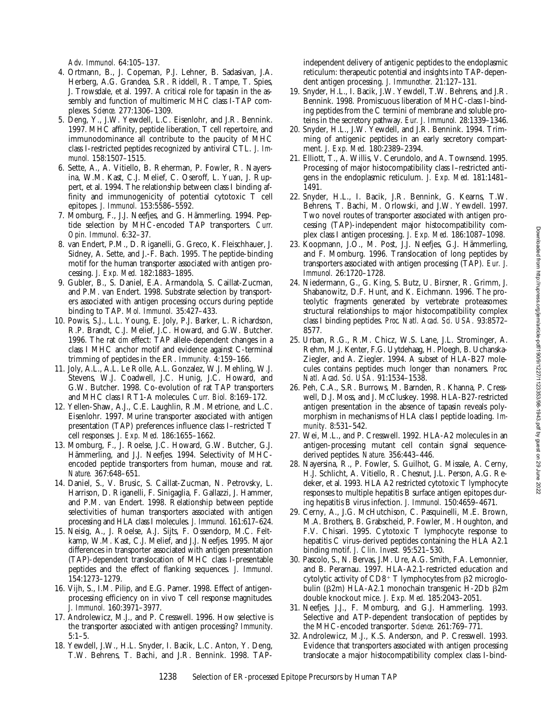*Adv. Immunol.* 64:105–137.

- 4. Ortmann, B., J. Copeman, P.J. Lehner, B. Sadasivan, J.A. Herberg, A.G. Grandea, S.R. Riddell, R. Tampe, T. Spies, J. Trowsdale, et al. 1997. A critical role for tapasin in the assembly and function of multimeric MHC class I-TAP complexes. *Science.* 277:1306–1309.
- 5. Deng, Y., J.W. Yewdell, L.C. Eisenlohr, and J.R. Bennink. 1997. MHC affinity, peptide liberation, T cell repertoire, and immunodominance all contribute to the paucity of MHC class I-restricted peptides recognized by antiviral CTL. *J. Immunol.* 158:1507–1515.
- 6. Sette, A., A. Vitiello, B. Reherman, P. Fowler, R. Nayersina, W.M. Kast, C.J. Melief, C. Oseroff, L. Yuan, J. Ruppert, et al. 1994. The relationship between class I binding affinity and immunogenicity of potential cytotoxic T cell epitopes. *J. Immunol.* 153:5586–5592.
- 7. Momburg, F., J.J. Neefjes, and G. Hämmerling. 1994. Peptide selection by MHC-encoded TAP transporters. *Curr. Opin. Immunol.* 6:32–37.
- 8. van Endert, P.M., D. Riganelli, G. Greco, K. Fleischhauer, J. Sidney, A. Sette, and J.-F. Bach. 1995. The peptide-binding motif for the human transporter associated with antigen processing. *J. Exp. Med.* 182:1883–1895.
- 9. Gubler, B., S. Daniel, E.A. Armandola, S. Caillat-Zucman, and P.M. van Endert. 1998. Substrate selection by transporters associated with antigen processing occurs during peptide binding to TAP. *Mol. Immunol.* 35:427–433.
- 10. Powis, S.J., L.L. Young, E. Joly, P.J. Barker, L. Richardson, R.P. Brandt, C.J. Melief, J.C. Howard, and G.W. Butcher. 1996. The rat *cim* effect: TAP allele-dependent changes in a class I MHC anchor motif and evidence against C-terminal trimming of peptides in the ER. *Immunity.* 4:159–166.
- 11. Joly, A.L., A.L. Le Rolle, A.L. Gonzalez, W.J. Mehling, W.J. Stevens, W.J. Coadwell, J.C. Hunig, J.C. Howard, and G.W. Butcher. 1998. Co-evolution of rat TAP transporters and MHC class I RT1-A molecules. *Curr. Biol.* 8:169–172.
- 12. Yellen-Shaw, A.J., C.E. Laughlin, R.M. Metrione, and L.C. Eisenlohr. 1997. Murine transporter associated with antigen presentation (TAP) preferences influence class I–restricted T cell responses. *J. Exp. Med.* 186:1655–1662.
- 13. Momburg, F., J. Roelse, J.C. Howard, G.W. Butcher, G.J. Hämmerling, and J.J. Neefjes. 1994. Selectivity of MHCencoded peptide transporters from human, mouse and rat. *Nature.* 367:648–651.
- 14. Daniel, S., V. Brusic, S. Caillat-Zucman, N. Petrovsky, L. Harrison, D. Riganelli, F. Sinigaglia, F. Gallazzi, J. Hammer, and P.M. van Endert. 1998. Relationship between peptide selectivities of human transporters associated with antigen processing and HLA class I molecules. *J. Immunol.* 161:617–624.
- 15. Neisig, A., J. Roelse, A.J. Sijts, F. Ossendorp, M.C. Feltkamp, W.M. Kast, C.J. Melief, and J.J. Neefjes. 1995. Major differences in transporter associated with antigen presentation (TAP)-dependent translocation of MHC class I-presentable peptides and the effect of flanking sequences. *J. Immunol.* 154:1273–1279.
- 16. Vijh, S., I.M. Pilip, and E.G. Pamer. 1998. Effect of antigenprocessing efficiency on in vivo T cell response magnitudes. *J. Immunol.* 160:3971–3977.
- 17. Androlewicz, M.J., and P. Cresswell. 1996. How selective is the transporter associated with antigen processing? *Immunity.* 5:1–5.
- 18. Yewdell, J.W., H.L. Snyder, I. Bacik, L.C. Anton, Y. Deng, T.W. Behrens, T. Bachi, and J.R. Bennink. 1998. TAP-

independent delivery of antigenic peptides to the endoplasmic reticulum: therapeutic potential and insights into TAP-dependent antigen processing. *J. Immunother.* 21:127–131.

- 19. Snyder, H.L., I. Bacik, J.W. Yewdell, T.W. Behrens, and J.R. Bennink. 1998. Promiscuous liberation of MHC-class I-binding peptides from the C termini of membrane and soluble proteins in the secretory pathway. *Eur. J. Immunol.* 28:1339–1346.
- 20. Snyder, H.L., J.W. Yewdell, and J.R. Bennink. 1994. Trimming of antigenic peptides in an early secretory compartment. *J. Exp. Med.* 180:2389–2394.
- 21. Elliott, T., A. Willis, V. Cerundolo, and A. Townsend. 1995. Processing of major histocompatibility class I–restricted antigens in the endoplasmic reticulum. *J. Exp. Med.* 181:1481– 1491.
- 22. Snyder, H.L., I. Bacik, J.R. Bennink, G. Kearns, T.W. Behrens, T. Bachi, M. Orlowski, and J.W. Yewdell. 1997. Two novel routes of transporter associated with antigen processing (TAP)-independent major histocompatibility complex class I antigen processing. *J. Exp. Med.* 186:1087–1098.
- 23. Koopmann, J.O., M. Post, J.J. Neefjes, G.J. Hämmerling, and F. Momburg. 1996. Translocation of long peptides by transporters associated with antigen processing (TAP). *Eur. J. Immunol.* 26:1720–1728.
- 24. Niedermann, G., G. King, S. Butz, U. Birsner, R. Grimm, J. Shabanowitz, D.F. Hunt, and K. Eichmann. 1996. The proteolytic fragments generated by vertebrate proteasomes: structural relationships to major histocompatibility complex class I binding peptides. *Proc. Natl. Acad. Sci. USA.* 93:8572– 8577.
- 25. Urban, R.G., R.M. Chicz, W.S. Lane, J.L. Strominger, A. Rehm, M.J. Kenter, F.G. Uytdehaag, H. Ploegh, B. Uchanska-Ziegler, and A. Ziegler. 1994. A subset of HLA-B27 molecules contains peptides much longer than nonamers. *Proc. Natl. Acad. Sci. USA.* 91:1534–1538.
- 26. Peh, C.A., S.R. Burrows, M. Barnden, R. Khanna, P. Cresswell, D.J. Moss, and J. McCluskey. 1998. HLA-B27-restricted antigen presentation in the absence of tapasin reveals polymorphism in mechanisms of HLA class I peptide loading. *Immunity.* 8:531–542.
- 27. Wei, M.L., and P. Cresswell. 1992. HLA-A2 molecules in an antigen-processing mutant cell contain signal sequencederived peptides. *Nature.* 356:443–446.
- 28. Nayersina, R., P. Fowler, S. Guilhot, G. Missale, A. Cerny, H.J. Schlicht, A. Vitiello, R. Chesnut, J.L. Person, A.G. Redeker, et al. 1993. HLA A2 restricted cytotoxic T lymphocyte responses to multiple hepatitis B surface antigen epitopes during hepatitis B virus infection. *J. Immunol.* 150:4659–4671.
- 29. Cerny, A., J.G. McHutchison, C. Pasquinelli, M.E. Brown, M.A. Brothers, B. Grabscheid, P. Fowler, M. Houghton, and F.V. Chisari. 1995. Cytotoxic T lymphocyte response to hepatitis C virus–derived peptides containing the HLA A2.1 binding motif. *J. Clin. Invest.* 95:521–530.
- 30. Pascolo, S., N. Bervas, J.M. Ure, A.G. Smith, F.A. Lemonnier, and B. Perarnau. 1997. HLA-A2.1-restricted education and cytolytic activity of  $CD8^+$  T lymphocytes from  $\beta$ 2 microglobulin ( $\beta$ 2m) HLA-A2.1 monochain transgenic H-2Db  $\beta$ 2m double knockout mice. *J. Exp. Med.* 185:2043–2051.
- 31. Neefjes, J.J., F. Momburg, and G.J. Hammerling. 1993. Selective and ATP-dependent translocation of peptides by the MHC-encoded transporter. *Science.* 261:769–771.
- 32. Androlewicz, M.J., K.S. Anderson, and P. Cresswell. 1993. Evidence that transporters associated with antigen processing translocate a major histocompatibility complex class I-bind-